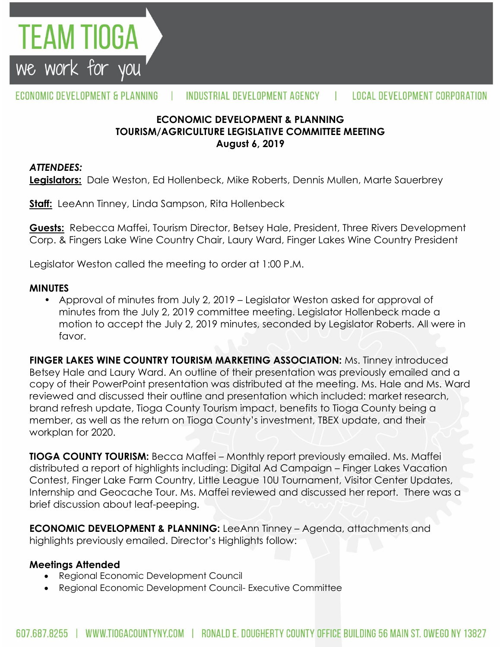

## **ECONOMIC DEVELOPMENT & PLANNING TOURISM/AGRICULTURE LEGISLATIVE COMMITTEE MEETING August 6, 2019**

#### *ATTENDEES:*

TEAM TIOGA

we work for you

**Legislators:** Dale Weston, Ed Hollenbeck, Mike Roberts, Dennis Mullen, Marte Sauerbrey

**Staff:** LeeAnn Tinney, Linda Sampson, Rita Hollenbeck

**Guests:** Rebecca Maffei, Tourism Director, Betsey Hale, President, Three Rivers Development Corp. & Fingers Lake Wine Country Chair, Laury Ward, Finger Lakes Wine Country President

Legislator Weston called the meeting to order at 1:00 P.M.

#### **MINUTES**

• Approval of minutes from July 2, 2019 – Legislator Weston asked for approval of minutes from the July 2, 2019 committee meeting. Legislator Hollenbeck made a motion to accept the July 2, 2019 minutes, seconded by Legislator Roberts. All were in favor.

**FINGER LAKES WINE COUNTRY TOURISM MARKETING ASSOCIATION:** Ms. Tinney introduced Betsey Hale and Laury Ward. An outline of their presentation was previously emailed and a copy of their PowerPoint presentation was distributed at the meeting. Ms. Hale and Ms. Ward reviewed and discussed their outline and presentation which included: market research, brand refresh update, Tioga County Tourism impact, benefits to Tioga County being a member, as well as the return on Tioga County's investment, TBEX update, and their workplan for 2020.

**TIOGA COUNTY TOURISM:** Becca Maffei – Monthly report previously emailed. Ms. Maffei distributed a report of highlights including: Digital Ad Campaign – Finger Lakes Vacation Contest, Finger Lake Farm Country, Little League 10U Tournament, Visitor Center Updates, Internship and Geocache Tour. Ms. Maffei reviewed and discussed her report. There was a brief discussion about leaf-peeping.

**ECONOMIC DEVELOPMENT & PLANNING:** LeeAnn Tinney – Agenda, attachments and highlights previously emailed. Director's Highlights follow:

## **Meetings Attended**

- Regional Economic Development Council
- Regional Economic Development Council- Executive Committee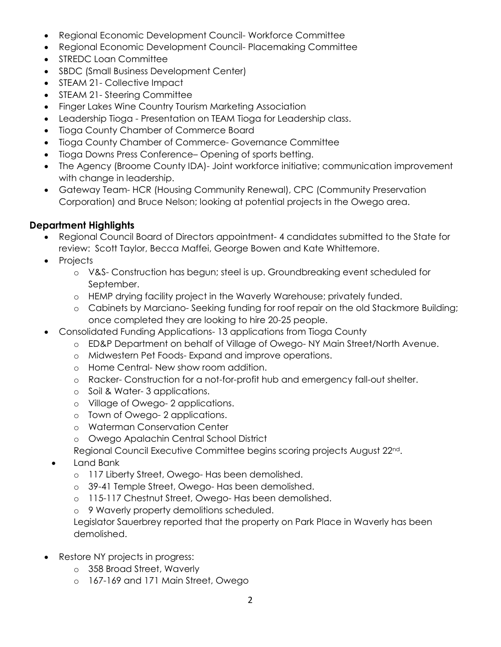- Regional Economic Development Council- Workforce Committee
- Regional Economic Development Council- Placemaking Committee
- STREDC Loan Committee
- SBDC (Small Business Development Center)
- STEAM 21- Collective Impact
- STEAM 21- Steering Committee
- Finger Lakes Wine Country Tourism Marketing Association
- Leadership Tioga Presentation on TEAM Tioga for Leadership class.
- Tioga County Chamber of Commerce Board
- Tioga County Chamber of Commerce- Governance Committee
- Tioga Downs Press Conference– Opening of sports betting.
- The Agency (Broome County IDA)- Joint workforce initiative; communication improvement with change in leadership.
- Gateway Team- HCR (Housing Community Renewal), CPC (Community Preservation Corporation) and Bruce Nelson; looking at potential projects in the Owego area.

# **Department Highlights**

- Regional Council Board of Directors appointment- 4 candidates submitted to the State for review: Scott Taylor, Becca Maffei, George Bowen and Kate Whittemore.
- Projects
	- o V&S- Construction has begun; steel is up. Groundbreaking event scheduled for September.
	- o HEMP drying facility project in the Waverly Warehouse; privately funded.
	- o Cabinets by Marciano- Seeking funding for roof repair on the old Stackmore Building; once completed they are looking to hire 20-25 people.
- Consolidated Funding Applications- 13 applications from Tioga County
	- o ED&P Department on behalf of Village of Owego- NY Main Street/North Avenue.
	- o Midwestern Pet Foods- Expand and improve operations.
	- o Home Central- New show room addition.
	- o Racker- Construction for a not-for-profit hub and emergency fall-out shelter.
	- o Soil & Water- 3 applications.
	- o Village of Owego- 2 applications.
	- o Town of Owego- 2 applications.
	- o Waterman Conservation Center
	- o Owego Apalachin Central School District

Regional Council Executive Committee begins scoring projects August 22nd.

- Land Bank
	- o 117 Liberty Street, Owego- Has been demolished.
	- o 39-41 Temple Street, Owego- Has been demolished.
	- o 115-117 Chestnut Street, Owego- Has been demolished.
	- o 9 Waverly property demolitions scheduled.

Legislator Sauerbrey reported that the property on Park Place in Waverly has been demolished.

- Restore NY projects in progress:
	- o 358 Broad Street, Waverly
	- o 167-169 and 171 Main Street, Owego